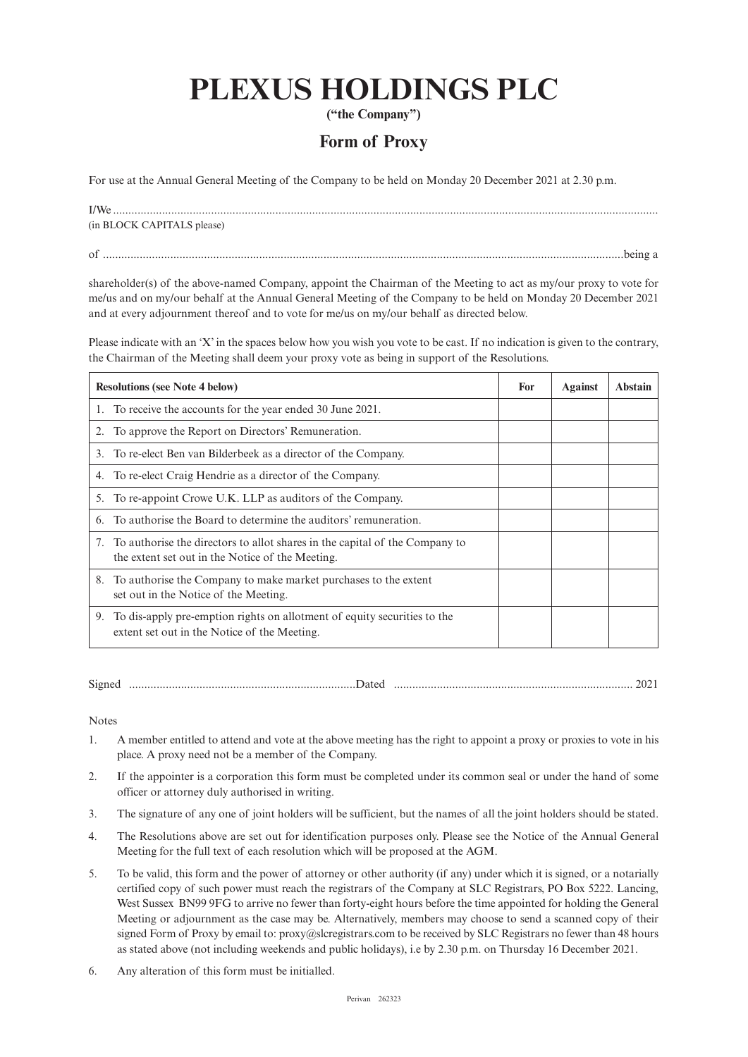# **PLEXUS HOLDINGS PLC**

**("the Company")**

## **Form of Proxy**

For use at the Annual General Meeting of the Company to be held on Monday 20 December 2021 at 2.30 p.m.

| I/W <sub>e</sub>           |
|----------------------------|
| (in BLOCK CAPITALS please) |
|                            |

of ..........................................................................................................................................................................being a

shareholder(s) of the above-named Company, appoint the Chairman of the Meeting to act as my/our proxy to vote for me/us and on my/our behalf at the Annual General Meeting of the Company to be held on Monday 20 December 2021 and at every adjournment thereof and to vote for me/us on my/our behalf as directed below.

Please indicate with an 'X' in the spaces below how you wish you vote to be cast. If no indication is given to the contrary, the Chairman of the Meeting shall deem your proxy vote as being in support of the Resolutions.

| <b>Resolutions (see Note 4 below)</b>                                                                                              | For | Against | Abstain |
|------------------------------------------------------------------------------------------------------------------------------------|-----|---------|---------|
| To receive the accounts for the year ended 30 June 2021.                                                                           |     |         |         |
| To approve the Report on Directors' Remuneration.                                                                                  |     |         |         |
| To re-elect Ben van Bilderbeek as a director of the Company.<br>3.                                                                 |     |         |         |
| To re-elect Craig Hendrie as a director of the Company.<br>4.                                                                      |     |         |         |
| To re-appoint Crowe U.K. LLP as auditors of the Company.<br>5.                                                                     |     |         |         |
| To authorise the Board to determine the auditors' remuneration.<br>6.                                                              |     |         |         |
| 7. To authorise the directors to allot shares in the capital of the Company to<br>the extent set out in the Notice of the Meeting. |     |         |         |
| To authorise the Company to make market purchases to the extent<br>8.<br>set out in the Notice of the Meeting.                     |     |         |         |
| To dis-apply pre-emption rights on allotment of equity securities to the<br>9.<br>extent set out in the Notice of the Meeting.     |     |         |         |

Signed ..........................................................................Dated .............................................................................. 2021

Notes

- 1. A member entitled to attend and vote at the above meeting has the right to appoint a proxy or proxies to vote in his place. A proxy need not be a member of the Company.
- 2. If the appointer is a corporation this form must be completed under its common seal or under the hand of some officer or attorney duly authorised in writing.
- 3. The signature of any one of joint holders will be sufficient, but the names of all the joint holders should be stated.
- 4. The Resolutions above are set out for identification purposes only. Please see the Notice of the Annual General Meeting for the full text of each resolution which will be proposed at the AGM.
- 5. To be valid, this form and the power of attorney or other authority (if any) under which it is signed, or a notarially certified copy of such power must reach the registrars of the Company at SLC Registrars, PO Box 5222. Lancing, West Sussex BN99 9FG to arrive no fewer than forty-eight hours before the time appointed for holding the General Meeting or adjournment as the case may be. Alternatively, members may choose to send a scanned copy of their signed Form of Proxy by email to: proxy@slcregistrars.com to be received by SLC Registrars no fewer than 48 hours as stated above (not including weekends and public holidays), i.e by 2.30 p.m. on Thursday 16 December 2021.
- 6. Any alteration of this form must be initialled.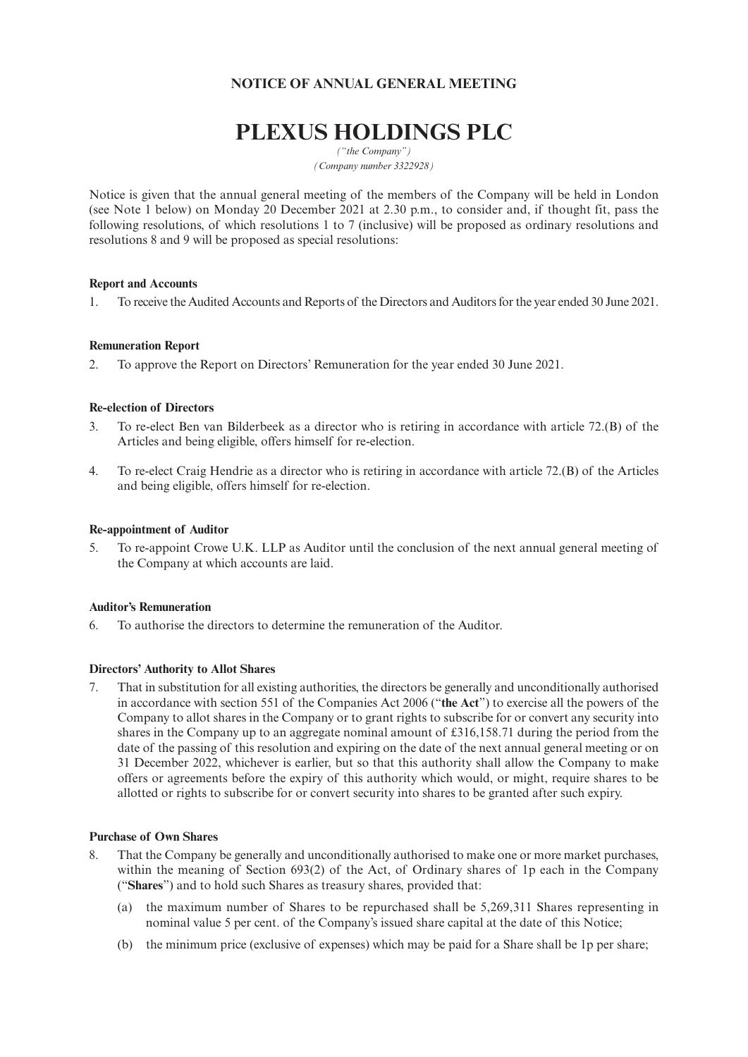### **NOTICE OF ANNUAL GENERAL MEETING**

# **PLEXUS HOLDINGS PLC**

*("the Company") (Company number 3322928)*

Notice is given that the annual general meeting of the members of the Company will be held in London (see Note 1 below) on Monday 20 December 2021 at 2.30 p.m., to consider and, if thought fit, pass the following resolutions, of which resolutions 1 to 7 (inclusive) will be proposed as ordinary resolutions and resolutions 8 and 9 will be proposed as special resolutions:

#### **Report and Accounts**

1. To receive the Audited Accounts and Reports of the Directors and Auditors for the year ended 30 June 2021.

#### **Remuneration Report**

2. To approve the Report on Directors' Remuneration for the year ended 30 June 2021.

#### **Re-election of Directors**

- 3. To re-elect Ben van Bilderbeek as a director who is retiring in accordance with article 72.(B) of the Articles and being eligible, offers himself for re-election.
- 4. To re-elect Craig Hendrie as a director who is retiring in accordance with article 72.(B) of the Articles and being eligible, offers himself for re-election.

#### **Re-appointment of Auditor**

5. To re-appoint Crowe U.K. LLP as Auditor until the conclusion of the next annual general meeting of the Company at which accounts are laid.

#### **Auditor's Remuneration**

6. To authorise the directors to determine the remuneration of the Auditor.

#### **Directors' Authority to Allot Shares**

7. That in substitution for all existing authorities, the directors be generally and unconditionally authorised in accordance with section 551 of the Companies Act 2006 ("**the Act**") to exercise all the powers of the Company to allot shares in the Company or to grant rights to subscribe for or convert any security into shares in the Company up to an aggregate nominal amount of £316,158.71 during the period from the date of the passing of this resolution and expiring on the date of the next annual general meeting or on 31 December 2022, whichever is earlier, but so that this authority shall allow the Company to make offers or agreements before the expiry of this authority which would, or might, require shares to be allotted or rights to subscribe for or convert security into shares to be granted after such expiry.

#### **Purchase of Own Shares**

- 8. That the Company be generally and unconditionally authorised to make one or more market purchases, within the meaning of Section 693(2) of the Act, of Ordinary shares of 1p each in the Company ("**Shares**") and to hold such Shares as treasury shares, provided that:
	- (a) the maximum number of Shares to be repurchased shall be 5,269,311 Shares representing in nominal value 5 per cent. of the Company's issued share capital at the date of this Notice;
	- (b) the minimum price (exclusive of expenses) which may be paid for a Share shall be 1p per share;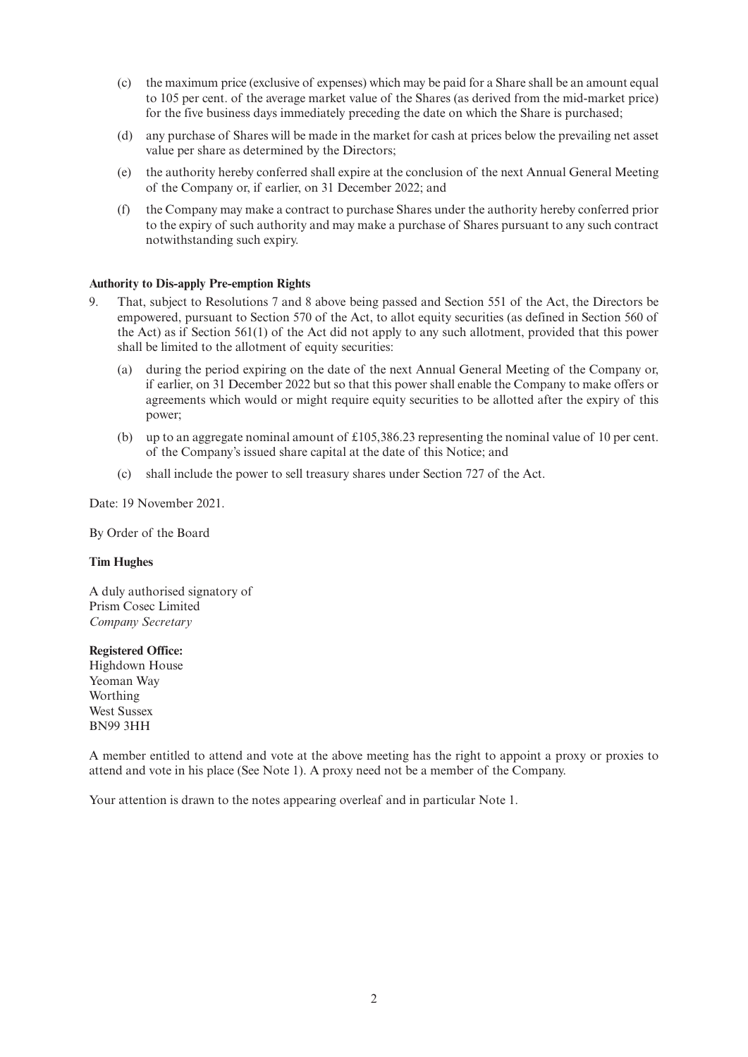- (c) the maximum price (exclusive of expenses) which may be paid for a Share shall be an amount equal to 105 per cent. of the average market value of the Shares (as derived from the mid-market price) for the five business days immediately preceding the date on which the Share is purchased;
- (d) any purchase of Shares will be made in the market for cash at prices below the prevailing net asset value per share as determined by the Directors;
- (e) the authority hereby conferred shall expire at the conclusion of the next Annual General Meeting of the Company or, if earlier, on 31 December 2022; and
- (f) the Company may make a contract to purchase Shares under the authority hereby conferred prior to the expiry of such authority and may make a purchase of Shares pursuant to any such contract notwithstanding such expiry.

#### **Authority to Dis-apply Pre-emption Rights**

- 9. That, subject to Resolutions 7 and 8 above being passed and Section 551 of the Act, the Directors be empowered, pursuant to Section 570 of the Act, to allot equity securities (as defined in Section 560 of the Act) as if Section 561(1) of the Act did not apply to any such allotment, provided that this power shall be limited to the allotment of equity securities:
	- (a) during the period expiring on the date of the next Annual General Meeting of the Company or, if earlier, on 31 December 2022 but so that this power shall enable the Company to make offers or agreements which would or might require equity securities to be allotted after the expiry of this power;
	- (b) up to an aggregate nominal amount of  $\text{\pounds}105,386.23$  representing the nominal value of 10 per cent. of the Company's issued share capital at the date of this Notice; and
	- (c) shall include the power to sell treasury shares under Section 727 of the Act.

Date: 19 November 2021.

By Order of the Board

#### **Tim Hughes**

A duly authorised signatory of Prism Cosec Limited *Company Secretary*

#### **Registered Office:**

Highdown House Yeoman Way Worthing West Sussex BN99 3HH

A member entitled to attend and vote at the above meeting has the right to appoint a proxy or proxies to attend and vote in his place (See Note 1). A proxy need not be a member of the Company.

Your attention is drawn to the notes appearing overleaf and in particular Note 1.